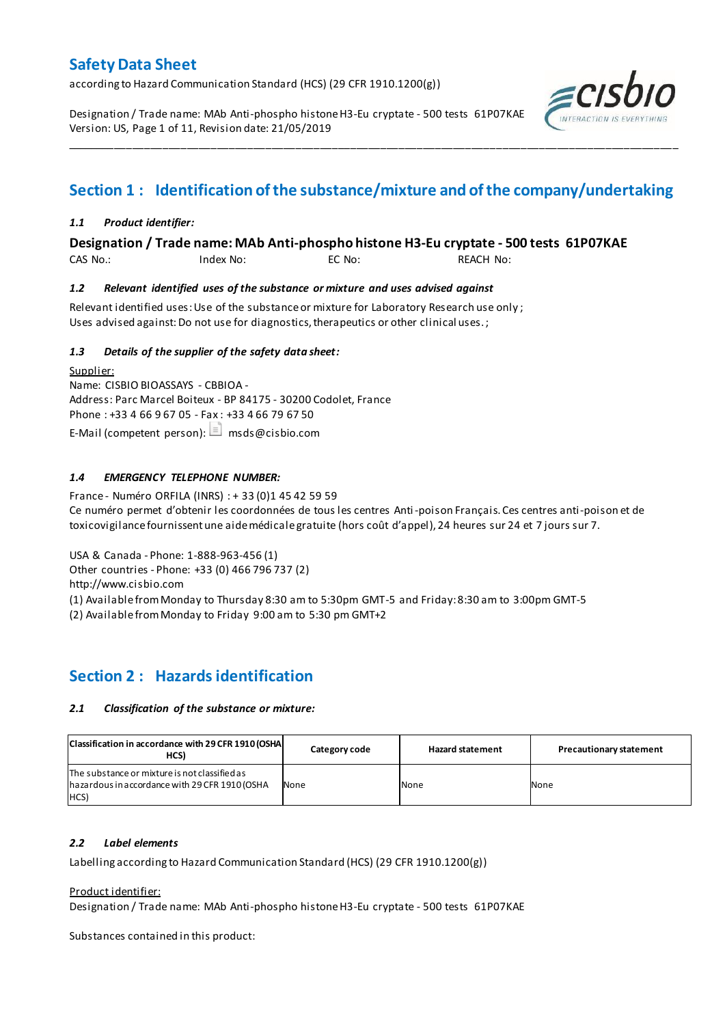according to Hazard Communication Standard (HCS) (29 CFR 1910.1200(g))

Designation / Trade name: MAb Anti-phospho histone H3-Eu cryptate - 500 tests 61P07KAE Version: US, Page 1 of 11, Revision date: 21/05/2019



# **Section 1 : Identification of the substance/mixture and of the company/undertaking**

\_\_\_\_\_\_\_\_\_\_\_\_\_\_\_\_\_\_\_\_\_\_\_\_\_\_\_\_\_\_\_\_\_\_\_\_\_\_\_\_\_\_\_\_\_\_\_\_\_\_\_\_\_\_\_\_\_\_\_\_\_\_\_\_\_\_\_\_\_\_\_\_\_\_\_\_\_\_\_\_\_\_\_\_\_\_\_\_\_\_\_\_\_\_\_\_\_\_\_\_\_

### *1.1 Product identifier:*

**Designation / Trade name: MAb Anti-phospho histone H3-Eu cryptate - 500 tests 61P07KAE** 

CAS No.: Index No: EC No: REACH No:

### *1.2 Relevant identified uses of the substance or mixture and uses advised against*

Relevant identified uses: Use of the substance or mixture for Laboratory Research use only ; Uses advised against: Do not use for diagnostics, therapeutics or other clinical uses.;

### *1.3 Details of the supplier of the safety data sheet:*

Supplier: Name: CISBIO BIOASSAYS - CBBIOA - Address: Parc Marcel Boiteux - BP 84175 - 30200 Codolet, France Phone : +33 4 66 9 67 05 - Fax : +33 4 66 79 67 50 E-Mail (competent person):  $\Box$  msds@cisbio.com

### *1.4 EMERGENCY TELEPHONE NUMBER:*

France - Numéro ORFILA (INRS) : + 33 (0)1 45 42 59 59 Ce numéro permet d'obtenir les coordonnées de tous les centres Anti-poison Français. Ces centres anti-poison et de toxicovigilance fournissent une aide médicale gratuite (hors coût d'appel), 24 heures sur 24 et 7 jours sur 7.

USA & Canada - Phone: 1-888-963-456 (1)

Other countries - Phone: +33 (0) 466 796 737 (2)

http://www.cisbio.com

(1) Available from Monday to Thursday 8:30 am to 5:30pm GMT-5 and Friday: 8:30 am to 3:00pm GMT-5

(2) Available from Monday to Friday 9:00 am to 5:30 pm GMT+2

## **Section 2 : Hazards identification**

### *2.1 Classification of the substance or mixture:*

| Classification in accordance with 29 CFR 1910 (OSHA<br>HCS)                                             | Category code | <b>Hazard statement</b> | <b>Precautionary statement</b> |
|---------------------------------------------------------------------------------------------------------|---------------|-------------------------|--------------------------------|
| The substance or mixture is not classified as<br>hazardous in accordance with 29 CFR 1910 (OSHA<br>HCS) | None          | None                    | None                           |

### *2.2 Label elements*

Labelling according to Hazard Communication Standard (HCS) (29 CFR 1910.1200(g))

### Product identifier:

Designation / Trade name: MAb Anti-phospho histone H3-Eu cryptate - 500 tests 61P07KAE

Substances contained in this product: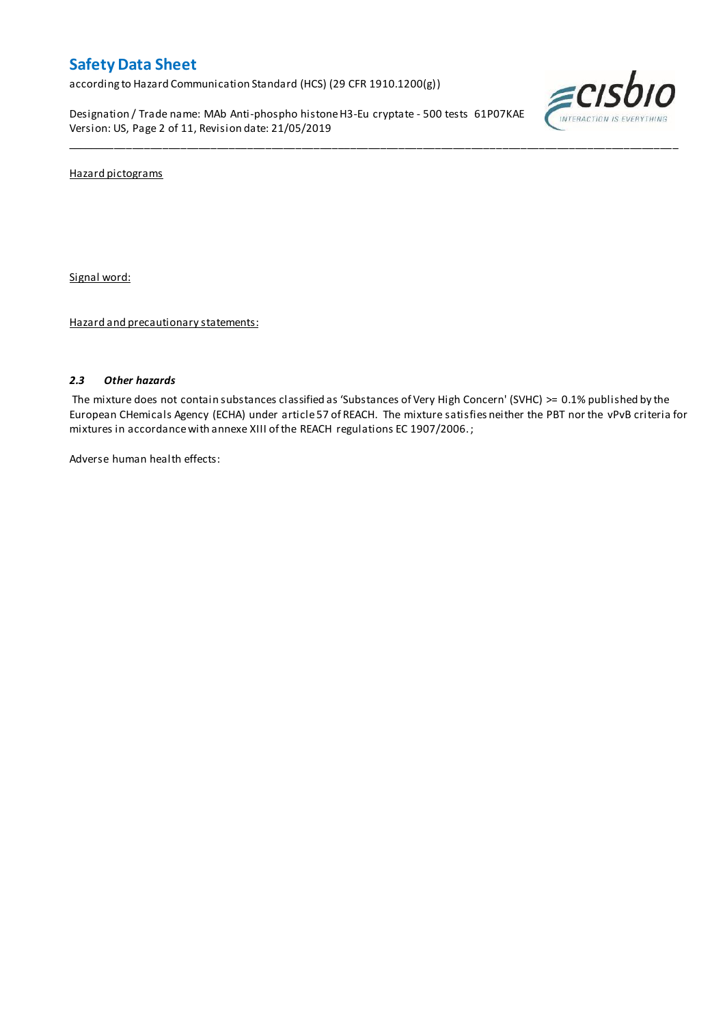according to Hazard Communication Standard (HCS) (29 CFR 1910.1200(g))

Designation / Trade name: MAb Anti-phospho histone H3-Eu cryptate - 500 tests 61P07KAE Version: US, Page 2 of 11, Revision date: 21/05/2019



Hazard pictograms

Signal word:

Hazard and precautionary statements:

### *2.3 Other hazards*

The mixture does not contain substances classified as 'Substances of Very High Concern' (SVHC) >= 0.1% published by the European CHemicals Agency (ECHA) under article 57 of REACH. The mixture satisfies neither the PBT nor the vPvB criteria for mixtures in accordance with annexe XIII of the REACH regulations EC 1907/2006. ;

\_\_\_\_\_\_\_\_\_\_\_\_\_\_\_\_\_\_\_\_\_\_\_\_\_\_\_\_\_\_\_\_\_\_\_\_\_\_\_\_\_\_\_\_\_\_\_\_\_\_\_\_\_\_\_\_\_\_\_\_\_\_\_\_\_\_\_\_\_\_\_\_\_\_\_\_\_\_\_\_\_\_\_\_\_\_\_\_\_\_\_\_\_\_\_\_\_\_\_\_\_

Adverse human health effects: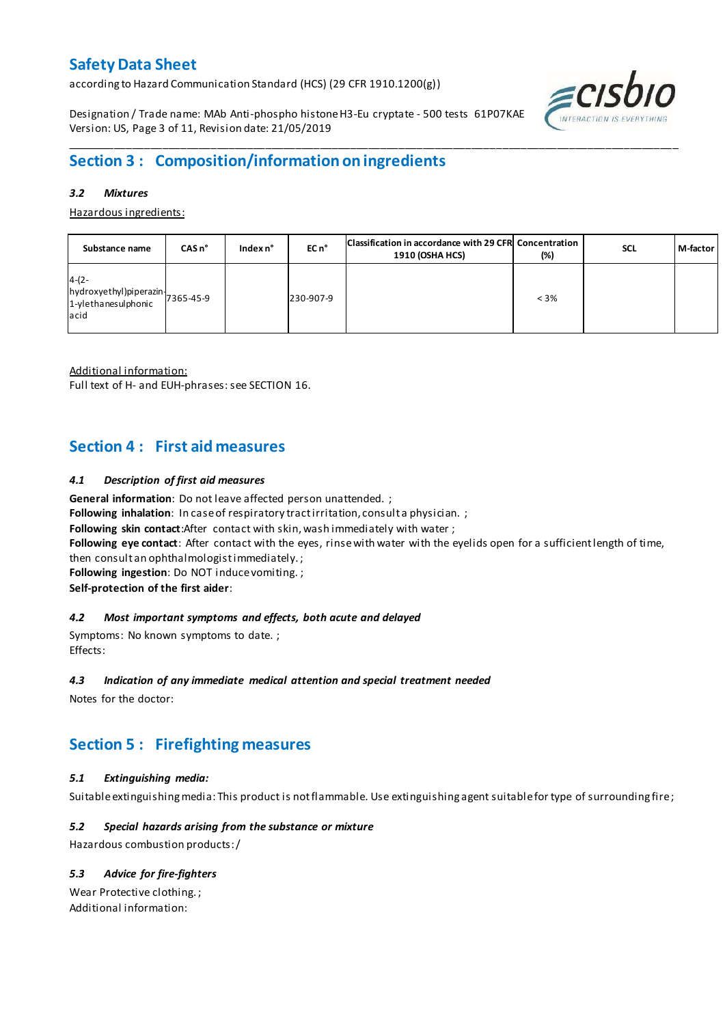according to Hazard Communication Standard (HCS) (29 CFR 1910.1200(g))

Designation / Trade name: MAb Anti-phospho histone H3-Eu cryptate - 500 tests 61P07KAE Version: US, Page 3 of 11, Revision date: 21/05/2019



## \_\_\_\_\_\_\_\_\_\_\_\_\_\_\_\_\_\_\_\_\_\_\_\_\_\_\_\_\_\_\_\_\_\_\_\_\_\_\_\_\_\_\_\_\_\_\_\_\_\_\_\_\_\_\_\_\_\_\_\_\_\_\_\_\_\_\_\_\_\_\_\_\_\_\_\_\_\_\_\_\_\_\_\_\_\_\_\_\_\_\_\_\_\_\_\_\_\_\_\_\_ **Section 3 : Composition/information on ingredients**

### *3.2 Mixtures*

Hazardous ingredients:

| Substance name                                                                           | $CASn^{\circ}$ | Index $n^{\circ}$ | EC n <sup>o</sup> | Classification in accordance with 29 CFR Concentration<br><b>1910 (OSHA HCS)</b> | (%)     | <b>SCL</b> | M-factor |
|------------------------------------------------------------------------------------------|----------------|-------------------|-------------------|----------------------------------------------------------------------------------|---------|------------|----------|
| $4-(2-$<br>$[hydroxyethyl]$ piperazin $\bigg  7365-45-9$<br>1-ylethanesulphonic<br>lacid |                |                   | 230-907-9         |                                                                                  | $< 3\%$ |            |          |

Additional information:

Full text of H- and EUH-phrases: see SECTION 16.

## **Section 4 : First aid measures**

### *4.1 Description of first aid measures*

**General information**: Do not leave affected person unattended. ;

Following inhalation: In case of respiratory tract irritation, consult a physician. ;

**Following skin contact**:After contact with skin, wash immediately with water ;

**Following eye contact**: After contact with the eyes, rinse with water with the eyelids open for a sufficient length of time,

then consult an ophthalmologist immediately. ;

**Following ingestion**: Do NOT induce vomiting. ;

**Self-protection of the first aider**:

### *4.2 Most important symptoms and effects, both acute and delayed*

Symptoms: No known symptoms to date. ; Effects:

### *4.3 Indication of any immediate medical attention and special treatment needed*

Notes for the doctor:

# **Section 5 : Firefighting measures**

## *5.1 Extinguishing media:*

Suitable extinguishing media: This product is not flammable. Use extinguishing agent suitable for type of surrounding fire ;

## *5.2 Special hazards arising from the substance or mixture*

Hazardous combustion products:/

## *5.3 Advice for fire-fighters*

Wear Protective clothing. ; Additional information: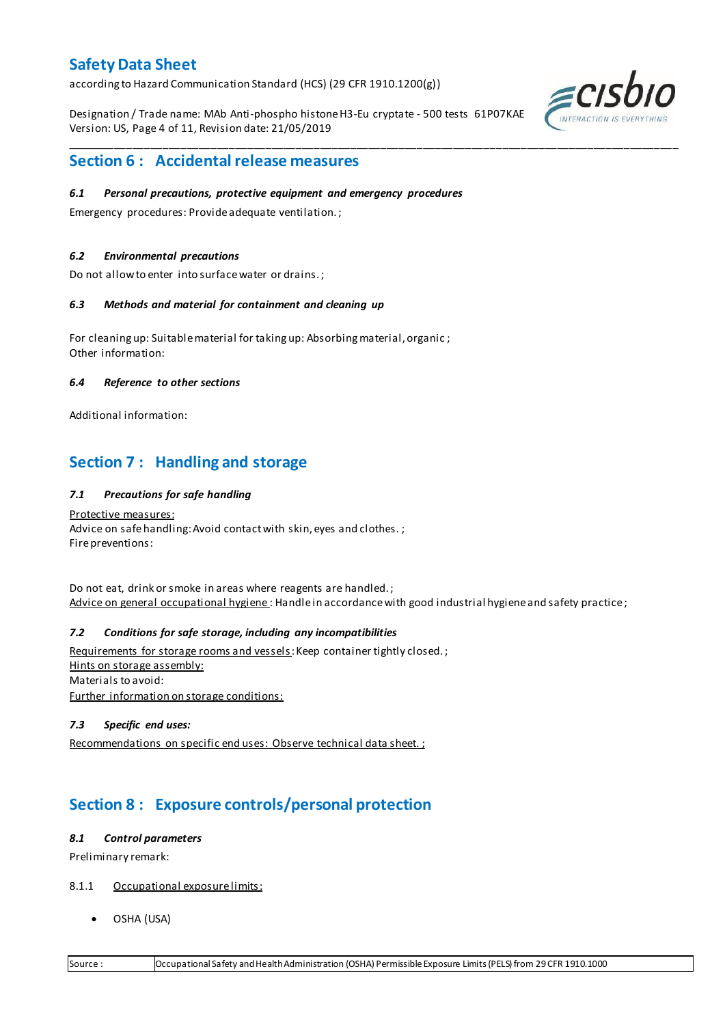according to Hazard Communication Standard (HCS) (29 CFR 1910.1200(g))

Designation / Trade name: MAb Anti-phospho histone H3-Eu cryptate - 500 tests 61P07KAE Version: US, Page 4 of 11, Revision date: 21/05/2019

\_\_\_\_\_\_\_\_\_\_\_\_\_\_\_\_\_\_\_\_\_\_\_\_\_\_\_\_\_\_\_\_\_\_\_\_\_\_\_\_\_\_\_\_\_\_\_\_\_\_\_\_\_\_\_\_\_\_\_\_\_\_\_\_\_\_\_\_\_\_\_\_\_\_\_\_\_\_\_\_\_\_\_\_\_\_\_\_\_\_\_\_\_\_\_\_\_\_\_\_\_



## **Section 6 : Accidental release measures**

### *6.1 Personal precautions, protective equipment and emergency procedures*

Emergency procedures: Provide adequate ventilation. ;

### *6.2 Environmental precautions*

Do not allow to enter into surface water or drains. ;

### *6.3 Methods and material for containment and cleaning up*

For cleaning up: Suitable material for taking up: Absorbing material, organic ; Other information:

### *6.4 Reference to other sections*

Additional information:

## **Section 7 : Handling and storage**

### *7.1 Precautions for safe handling*

Protective measures: Advice on safe handling: Avoid contact with skin, eyes and clothes.; Fire preventions:

Do not eat, drink or smoke in areas where reagents are handled. ; Advice on general occupational hygiene: Handle in accordance with good industrial hygiene and safety practice;

## *7.2 Conditions for safe storage, including any incompatibilities*

Requirements for storage rooms and vessels: Keep container tightly closed.; Hints on storage assembly: Materials to avoid: Further information on storage conditions:

### *7.3 Specific end uses:*

Recommendations on specific end uses: Observe technical data sheet. ;

# **Section 8 : Exposure controls/personal protection**

### *8.1 Control parameters*

Preliminary remark:

- 8.1.1 Occupational exposure limits:
	- OSHA (USA)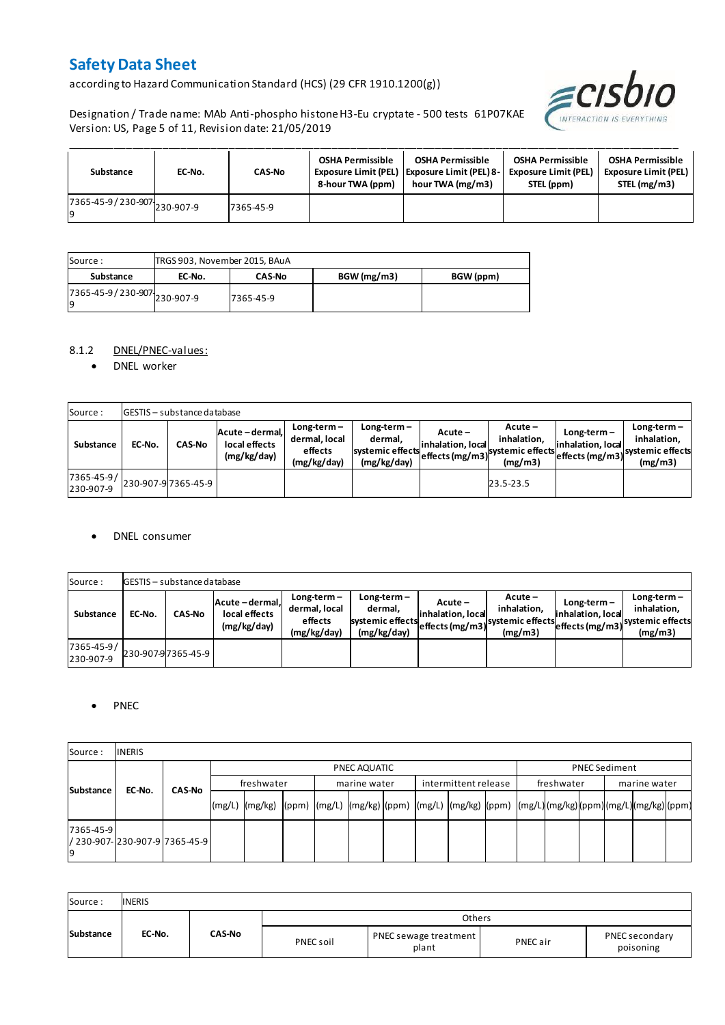according to Hazard Communication Standard (HCS) (29 CFR 1910.1200(g))



Designation / Trade name: MAb Anti-phospho histone H3-Eu cryptate - 500 tests 61P07KAE Version: US, Page 5 of 11, Revision date: 21/05/2019

| Substance                   | EC-No. | <b>CAS-No</b> | <b>OSHA Permissible</b><br>8-hour TWA (ppm) | <b>OSHA Permissible</b><br>Exposure Limit (PEL)   Exposure Limit (PEL) 8-<br>hour TWA (mg/m3) | <b>OSHA Permissible</b><br><b>Exposure Limit (PEL)</b><br>STEL (ppm) | <b>OSHA Permissible</b><br><b>Exposure Limit (PEL)</b><br>STEL (mg/m3) |
|-----------------------------|--------|---------------|---------------------------------------------|-----------------------------------------------------------------------------------------------|----------------------------------------------------------------------|------------------------------------------------------------------------|
| 7365-45-9/230-907 230-907-9 |        | 7365-45-9     |                                             |                                                                                               |                                                                      |                                                                        |

| Source :                            | TRGS 903, November 2015, BAuA |               |             |           |
|-------------------------------------|-------------------------------|---------------|-------------|-----------|
| Substance                           | EC-No.                        | <b>CAS-No</b> | BGW (mg/m3) | BGW (ppm) |
| 7365-45-9 / 230-907 230-907-9<br>19 |                               | 7365-45-9     |             |           |

### 8.1.2 DNEL/PNEC-values:

• DNEL worker

| Source:                 |        | <b>GESTIS</b> - substance database |                                                 |                                                          |                                                             |                              |                                                                                                            |                                    |                                         |
|-------------------------|--------|------------------------------------|-------------------------------------------------|----------------------------------------------------------|-------------------------------------------------------------|------------------------------|------------------------------------------------------------------------------------------------------------|------------------------------------|-----------------------------------------|
| Substance               | EC-No. | <b>CAS-No</b>                      | Acute - dermal,<br>local effects<br>(mg/kg/day) | $Long-term -$<br>dermal, local<br>effects<br>(mg/kg/day) | $Long-term -$<br>dermal.<br>systemic effects<br>(mg/kg/day) | Acute –<br>inhalation, local | $Acute -$<br>inhalation.<br>effects (mg/m3) <sup>systemic</sup> effects (mg/m3)systemic effects<br>(mg/m3) | $Long-term -$<br>inhalation, local | $Long-term -$<br>inhalation.<br>(mg/m3) |
| 7365-45-9/<br>230-907-9 |        | 230-907-9 7365-45-9                |                                                 |                                                          |                                                             |                              | 23.5-23.5                                                                                                  |                                    |                                         |

### DNEL consumer

| Source:                 |        | GESTIS - substance database |                                                 |                                                          |                                                             |                               |                                                                                  |                                    |                                         |
|-------------------------|--------|-----------------------------|-------------------------------------------------|----------------------------------------------------------|-------------------------------------------------------------|-------------------------------|----------------------------------------------------------------------------------|------------------------------------|-----------------------------------------|
| Substance               | EC-No. | <b>CAS-No</b>               | Acute - dermal.<br>local effects<br>(mg/kg/day) | $Long-term -$<br>dermal, local<br>effects<br>(mg/kg/day) | $Long-term -$<br>dermal,<br>systemic effects<br>(mg/kg/day) | Acute –<br>linhalation. local | $Acute -$<br>inhalation.<br>systemic effects (mg/m3) systemic effects<br>(mg/m3) | $Long-term -$<br>inhalation. local | $Long-term -$<br>inhalation.<br>(mg/m3) |
| 7365-45-9/<br>230-907-9 |        | 230-907-97365-45-9          |                                                 |                                                          |                                                             |                               |                                                                                  |                                    |                                         |

### • PNEC

| Source:         | <b>INERIS</b>                    |        |        |                                                                                                         |  |  |              |  |                      |  |            |  |                      |  |  |  |  |
|-----------------|----------------------------------|--------|--------|---------------------------------------------------------------------------------------------------------|--|--|--------------|--|----------------------|--|------------|--|----------------------|--|--|--|--|
|                 |                                  |        |        | PNEC AQUATIC                                                                                            |  |  |              |  |                      |  |            |  | <b>PNEC Sediment</b> |  |  |  |  |
|                 | EC-No.                           | CAS-No |        | freshwater                                                                                              |  |  | marine water |  | intermittent release |  | freshwater |  | marine water         |  |  |  |  |
| Substance       |                                  |        | (mg/L) | mg/kg)  (ppm)  (mg/L)  (mg/kg) (ppm)  (mg/L)  (mg/kg)  (ppm)  (mg/L) (mg/kg) (ppm) (mg/L) (mg/kg) (ppm) |  |  |              |  |                      |  |            |  |                      |  |  |  |  |
| 7365-45-9<br>١q | l/ 230-907-l230-907-9l7365-45-9l |        |        |                                                                                                         |  |  |              |  |                      |  |            |  |                      |  |  |  |  |

| Source:   | <b>INERIS</b> |               |           |                                |          |                             |
|-----------|---------------|---------------|-----------|--------------------------------|----------|-----------------------------|
|           |               |               |           | Others                         |          |                             |
| Substance | EC-No.        | <b>CAS-No</b> | PNEC soil | PNEC sewage treatment<br>plant | PNEC air | PNEC secondary<br>poisoning |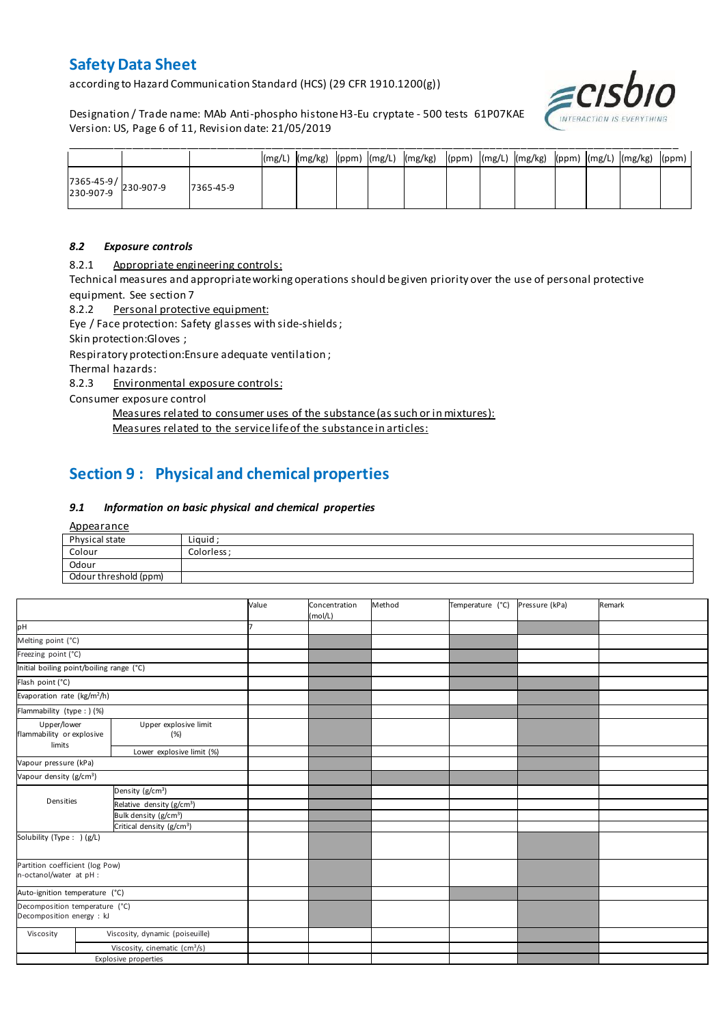according to Hazard Communication Standard (HCS) (29 CFR 1910.1200(g))

Designation / Trade name: MAb Anti-phospho histone H3-Eu cryptate - 500 tests 61P07KAE Version: US, Page 6 of 11, Revision date: 21/05/2019



|                                                                                       |           |  |  | (mg/L)  (mg/kg)  (ppm)  (mg/L)  (mg/kg)  (ppm)  (mg/L)  (mg/kg)  (ppm)  (mg/L)  (mg/kg)  (ppm) |  |  |  |  |
|---------------------------------------------------------------------------------------|-----------|--|--|------------------------------------------------------------------------------------------------|--|--|--|--|
| $\begin{array}{ c c c c }\n 7365-45-9 & & 230-907-9 \\ 230-907-9 & & & \n\end{array}$ | 7365-45-9 |  |  |                                                                                                |  |  |  |  |

### *8.2 Exposure controls*

8.2.1 Appropriate engineering controls:

Technical measures and appropriate working operations should be given priority over the use of personal protective equipment. See section 7

8.2.2 Personal protective equipment:

Eye / Face protection: Safety glasses with side-shields ;

Skin protection:Gloves ;

Respiratory protection:Ensure adequate ventilation ;

Thermal hazards:

8.2.3 Environmental exposure controls:

Consumer exposure control

Measures related to consumer uses of the substance (as such or in mixtures):

Measures related to the service life of the substance in articles:

# **Section 9 : Physical and chemical properties**

### *9.1 Information on basic physical and chemical properties*

**Appearance** 

| Physical state        | Liguid     |
|-----------------------|------------|
| Colour                | Colorless: |
| Odour                 |            |
| Odour threshold (ppm) |            |

|                                                                          |  |                                           | Value | Concentration<br>(mol/L) | Method | Temperature (°C) | Pressure (kPa) | Remark |
|--------------------------------------------------------------------------|--|-------------------------------------------|-------|--------------------------|--------|------------------|----------------|--------|
| pH                                                                       |  |                                           |       |                          |        |                  |                |        |
| Melting point (°C)                                                       |  |                                           |       |                          |        |                  |                |        |
| Freezing point (°C)                                                      |  |                                           |       |                          |        |                  |                |        |
| Initial boiling point/boiling range (°C)                                 |  |                                           |       |                          |        |                  |                |        |
| Flash point (°C)                                                         |  |                                           |       |                          |        |                  |                |        |
| Evaporation rate (kg/m <sup>2</sup> /h)                                  |  |                                           |       |                          |        |                  |                |        |
| Flammability (type : ) (%)                                               |  |                                           |       |                          |        |                  |                |        |
| Upper/lower<br>Upper explosive limit<br>flammability or explosive<br>(%) |  |                                           |       |                          |        |                  |                |        |
| limits                                                                   |  | Lower explosive limit (%)                 |       |                          |        |                  |                |        |
| Vapour pressure (kPa)                                                    |  |                                           |       |                          |        |                  |                |        |
| Vapour density (g/cm <sup>3</sup> )                                      |  |                                           |       |                          |        |                  |                |        |
|                                                                          |  | Density (g/cm <sup>3</sup> )              |       |                          |        |                  |                |        |
| Densities                                                                |  | Relative density (g/cm <sup>3</sup> )     |       |                          |        |                  |                |        |
|                                                                          |  | Bulk density (g/cm <sup>3</sup> )         |       |                          |        |                  |                |        |
|                                                                          |  | Critical density (g/cm <sup>3</sup> )     |       |                          |        |                  |                |        |
| Solubility (Type: ) (g/L)                                                |  |                                           |       |                          |        |                  |                |        |
| Partition coefficient (log Pow)<br>n-octanol/water at pH :               |  |                                           |       |                          |        |                  |                |        |
| Auto-ignition temperature (°C)                                           |  |                                           |       |                          |        |                  |                |        |
| Decomposition temperature (°C)<br>Decomposition energy : kJ              |  |                                           |       |                          |        |                  |                |        |
| Viscosity                                                                |  | Viscosity, dynamic (poiseuille)           |       |                          |        |                  |                |        |
|                                                                          |  | Viscosity, cinematic (cm <sup>3</sup> /s) |       |                          |        |                  |                |        |
|                                                                          |  | <b>Explosive properties</b>               |       |                          |        |                  |                |        |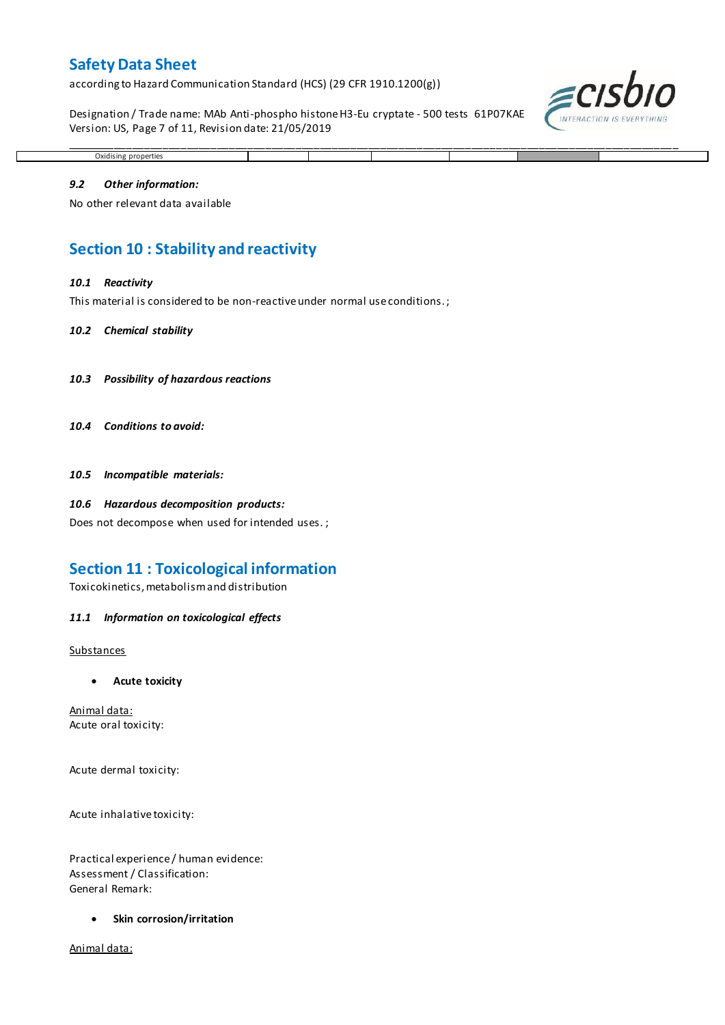according to Hazard Communication Standard (HCS) (29 CFR 1910.1200(g))

Designation / Trade name: MAb Anti-phospho histone H3-Eu cryptate - 500 tests 61P07KAE Version: US, Page 7 of 11, Revision date: 21/05/2019



## Oxidising properties

\_\_\_\_\_\_\_\_\_\_\_\_\_\_\_\_\_\_\_\_\_\_\_\_\_\_\_\_\_\_\_\_\_\_\_\_\_\_\_\_\_\_\_\_\_\_\_\_\_\_\_\_\_\_\_\_\_\_\_\_\_\_\_\_\_\_\_\_\_\_\_\_\_\_\_\_\_\_\_\_\_\_\_\_\_\_\_\_\_\_\_\_\_\_\_\_\_\_\_\_\_

### *9.2 Other information:*

No other relevant data available

## **Section 10 : Stability and reactivity**

#### *10.1 Reactivity*

This material is considered to be non-reactive under normal use conditions. ;

#### *10.2 Chemical stability*

- *10.3 Possibility of hazardous reactions*
- *10.4 Conditions to avoid:*

*10.5 Incompatible materials:*

#### *10.6 Hazardous decomposition products:*

Does not decompose when used for intended uses. ;

## **Section 11 : Toxicological information**

Toxicokinetics, metabolism and distribution

#### *11.1 Information on toxicological effects*

#### **Substances**

**Acute toxicity**

Animal data: Acute oral toxicity:

Acute dermal toxicity:

Acute inhalative toxicity:

Practical experience / human evidence: Assessment / Classification: General Remark:

**Skin corrosion/irritation**

Animal data: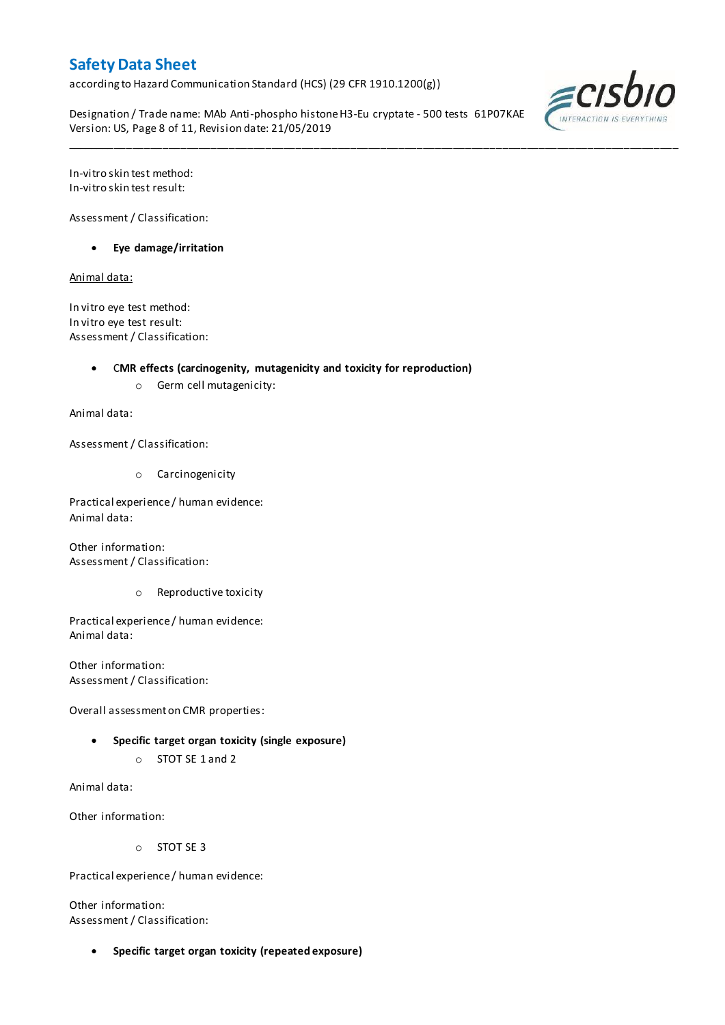according to Hazard Communication Standard (HCS) (29 CFR 1910.1200(g))

Designation / Trade name: MAb Anti-phospho histone H3-Eu cryptate - 500 tests 61P07KAE Version: US, Page 8 of 11, Revision date: 21/05/2019

\_\_\_\_\_\_\_\_\_\_\_\_\_\_\_\_\_\_\_\_\_\_\_\_\_\_\_\_\_\_\_\_\_\_\_\_\_\_\_\_\_\_\_\_\_\_\_\_\_\_\_\_\_\_\_\_\_\_\_\_\_\_\_\_\_\_\_\_\_\_\_\_\_\_\_\_\_\_\_\_\_\_\_\_\_\_\_\_\_\_\_\_\_\_\_\_\_\_\_\_\_



In-vitro skin test method: In-vitro skin test result:

Assessment / Classification:

**Eye damage/irritation**

Animal data:

In vitro eye test method: In vitro eye test result: Assessment / Classification:

C**MR effects (carcinogenity, mutagenicity and toxicity for reproduction)**

o Germ cell mutagenicity:

Animal data:

Assessment / Classification:

o Carcinogenicity

Practical experience / human evidence: Animal data:

Other information: Assessment / Classification:

o Reproductive toxicity

Practical experience / human evidence: Animal data:

Other information: Assessment / Classification:

Overall assessment on CMR properties:

- **Specific target organ toxicity (single exposure)**
	- o STOT SE 1 and 2

Animal data:

Other information:

o STOT SE 3

Practical experience / human evidence:

Other information: Assessment / Classification:

**Specific target organ toxicity (repeated exposure)**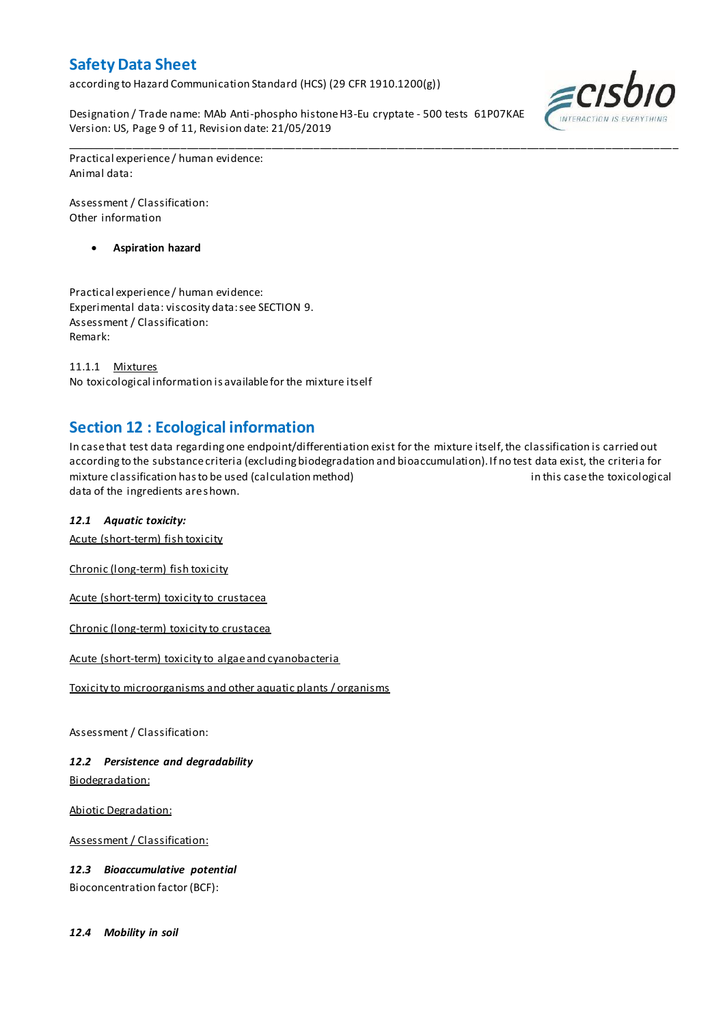according to Hazard Communication Standard (HCS) (29 CFR 1910.1200(g))

Designation / Trade name: MAb Anti-phospho histone H3-Eu cryptate - 500 tests 61P07KAE Version: US, Page 9 of 11, Revision date: 21/05/2019



Practical experience / human evidence: Animal data:

Assessment / Classification: Other information

**Aspiration hazard**

Practical experience / human evidence: Experimental data: viscosity data: see SECTION 9. Assessment / Classification: Remark:

11.1.1 Mixtures No toxicological information is available for the mixture itself

## **Section 12 : Ecological information**

In case that test data regarding one endpoint/differentiation exist for the mixture itself, the classification is carried out according to the substance criteria (excluding biodegradation and bioaccumulation). If no test data exist, the criteria for mixture classification has to be used (calculation method) in this case the toxicological data of the ingredients are shown.

\_\_\_\_\_\_\_\_\_\_\_\_\_\_\_\_\_\_\_\_\_\_\_\_\_\_\_\_\_\_\_\_\_\_\_\_\_\_\_\_\_\_\_\_\_\_\_\_\_\_\_\_\_\_\_\_\_\_\_\_\_\_\_\_\_\_\_\_\_\_\_\_\_\_\_\_\_\_\_\_\_\_\_\_\_\_\_\_\_\_\_\_\_\_\_\_\_\_\_\_\_

## *12.1 Aquatic toxicity:*

Acute (short-term) fish toxicity

Chronic (long-term) fish toxicity

Acute (short-term) toxicity to crustacea

Chronic (long-term) toxicity to crustacea

Acute (short-term) toxicity to algae and cyanobacteria

Toxicity to microorganisms and other aquatic plants / organisms

Assessment / Classification:

*12.2 Persistence and degradability* Biodegradation:

Abiotic Degradation:

Assessment / Classification:

*12.3 Bioaccumulative potential* Bioconcentration factor (BCF):

*12.4 Mobility in soil*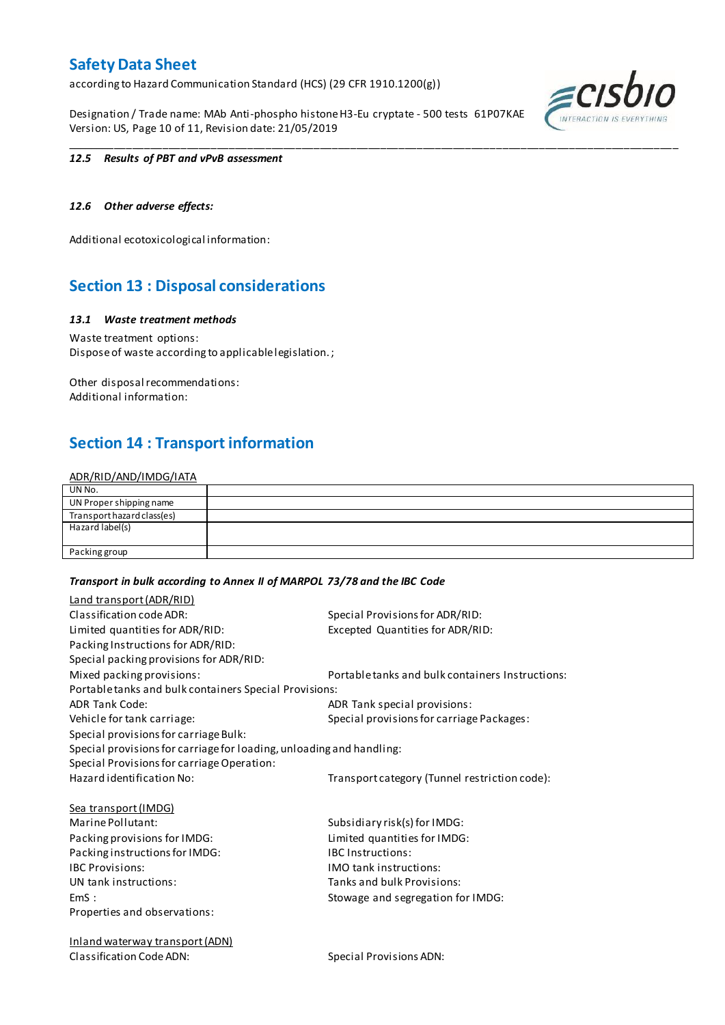according to Hazard Communication Standard (HCS) (29 CFR 1910.1200(g))

Designation / Trade name: MAb Anti-phospho histone H3-Eu cryptate - 500 tests 61P07KAE Version: US, Page 10 of 11, Revision date: 21/05/2019



### *12.5 Results of PBT and vPvB assessment*

### *12.6 Other adverse effects:*

Additional ecotoxicological information:

## **Section 13 : Disposal considerations**

### *13.1 Waste treatment methods*

Waste treatment options: Dispose of waste according to applicable legislation. ;

Other disposal recommendations: Additional information:

## **Section 14 : Transport information**

### ADR/RID/AND/IMDG/IATA

| UN No.                     |  |
|----------------------------|--|
| UN Proper shipping name    |  |
| Transport hazard class(es) |  |
| Hazard label(s)            |  |
|                            |  |
| Packing group              |  |

\_\_\_\_\_\_\_\_\_\_\_\_\_\_\_\_\_\_\_\_\_\_\_\_\_\_\_\_\_\_\_\_\_\_\_\_\_\_\_\_\_\_\_\_\_\_\_\_\_\_\_\_\_\_\_\_\_\_\_\_\_\_\_\_\_\_\_\_\_\_\_\_\_\_\_\_\_\_\_\_\_\_\_\_\_\_\_\_\_\_\_\_\_\_\_\_\_\_\_\_\_

### *Transport in bulk according to Annex II of MARPOL 73/78 and the IBC Code*

| Land transport (ADR/RID)                                             |                                                  |
|----------------------------------------------------------------------|--------------------------------------------------|
| Classification code ADR:                                             | Special Provisions for ADR/RID:                  |
| Limited quantities for ADR/RID:                                      | Excepted Quantities for ADR/RID:                 |
| Packing Instructions for ADR/RID:                                    |                                                  |
| Special packing provisions for ADR/RID:                              |                                                  |
| Mixed packing provisions:                                            | Portable tanks and bulk containers Instructions: |
| Portable tanks and bulk containers Special Provisions:               |                                                  |
| <b>ADR Tank Code:</b>                                                | ADR Tank special provisions:                     |
| Vehicle for tank carriage:                                           | Special provisions for carriage Packages:        |
| Special provisions for carriage Bulk:                                |                                                  |
| Special provisions for carriage for loading, unloading and handling: |                                                  |
| Special Provisions for carriage Operation:                           |                                                  |
| Hazard identification No:                                            | Transport category (Tunnel restriction code):    |
| <b>Sea transport (IMDG)</b>                                          |                                                  |
| Marine Pollutant:                                                    | Subsidiary risk(s) for IMDG:                     |
| Packing provisions for IMDG:                                         | Limited quantities for IMDG:                     |
| Packing instructions for IMDG:                                       | <b>IBC</b> Instructions:                         |
| <b>IBC Provisions:</b>                                               | <b>IMO</b> tank instructions:                    |
| UN tank instructions:                                                | Tanks and bulk Provisions:                       |
| EmS:                                                                 | Stowage and segregation for IMDG:                |
| Properties and observations:                                         |                                                  |
| <b>Inland waterway transport (ADN)</b>                               |                                                  |

Classification Code ADN: Special Provisions ADN: